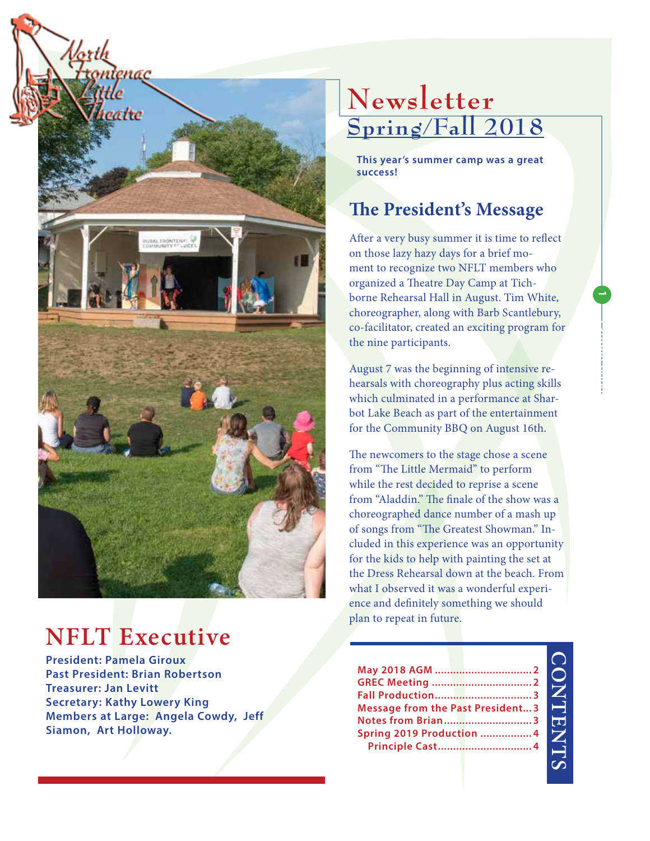

# **NFLT Executive**

**President: Pamela Giroux Past President: Brian Robertson Treasurer: Jan Levitt Secretary: Kathy Lowery King Members at Large: Angela Cowdy, Jeff Siamon, Art Holloway.**

# **Newsletter Spring/Fall 2018**

**This year's summer camp was a great success!**

## **The President's Message**

After a very busy summer it is time to reflect on those lazy hazy days for a brief moment to recognize two NFLT members who organized a Theatre Day Camp at Tichborne Rehearsal Hall in August. Tim White, choreographer, along with Barb Scantlebury, co-facilitator, created an exciting program for the nine participants.

August 7 was the beginning of intensive rehearsals with choreography plus acting skills which culminated in a performance at Sharbot Lake Beach as part of the entertainment for the Community BBQ on August 16th.

The newcomers to the stage chose a scene from "The Little Mermaid" to perform while the rest decided to reprise a scene from "Aladdin." The finale of the show was a choreographed dance number of a mash up of songs from "The Greatest Showman." Included in this experience was an opportunity for the kids to help with painting the set at the Dress Rehearsal down at the beach. From what I observed it was a wonderful experience and definitely something we should plan to repeat in future.

|                                         |  | $\overline{\phantom{a}}$ |
|-----------------------------------------|--|--------------------------|
|                                         |  | l,                       |
| <b>Message from the Past President3</b> |  | J                        |
| Notes from Brian3                       |  |                          |
| Spring 2019 Production  4               |  | ľ                        |
|                                         |  | ŗ                        |

**CONTENTS CONTENTS**  **1**

**Laoreet 0000**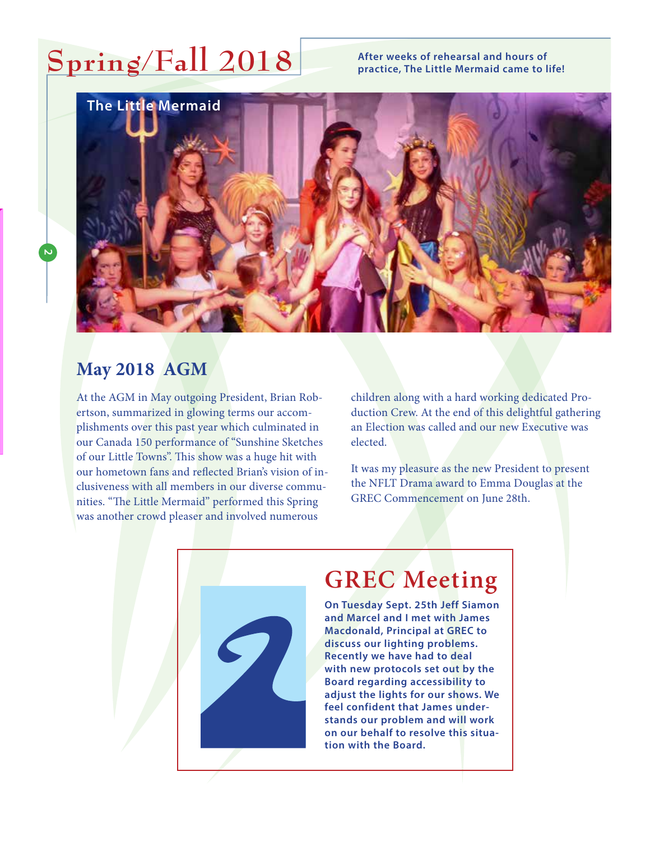# **Spring/Fall 2018**

#### **After weeks of rehearsal and hours of practice, The Little Mermaid came to life!**



#### **May 2018 AGM**

**2**

At the AGM in May outgoing President, Brian Robertson, summarized in glowing terms our accomplishments over this past year which culminated in our Canada 150 performance of "Sunshine Sketches of our Little Towns". This show was a huge hit with our hometown fans and reflected Brian's vision of inclusiveness with all members in our diverse communities. "The Little Mermaid" performed this Spring was another crowd pleaser and involved numerous

children along with a hard working dedicated Production Crew. At the end of this delightful gathering an Election was called and our new Executive was elected.

It was my pleasure as the new President to present the NFLT Drama award to Emma Douglas at the GREC Commencement on June 28th.



## **GREC Meeting**

**On Tuesday Sept. 25th Jeff Siamon and Marcel and I met with James Macdonald, Principal at GREC to discuss our lighting problems. Recently we have had to deal with new protocols set out by the Board regarding accessibility to adjust the lights for our shows. We feel confident that James understands our problem and will work on our behalf to resolve this situation with the Board.**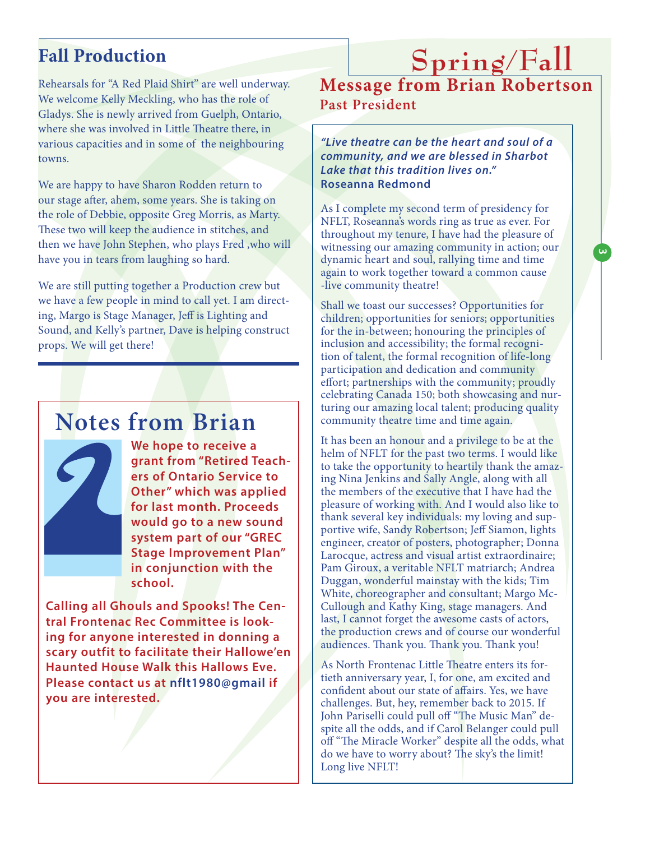### **Fall Production**

Rehearsals for "A Red Plaid Shirt" are well underway. We welcome Kelly Meckling, who has the role of Gladys. She is newly arrived from Guelph, Ontario, where she was involved in Little Theatre there, in various capacities and in some of the neighbouring towns.

We are happy to have Sharon Rodden return to our stage after, ahem, some years. She is taking on the role of Debbie, opposite Greg Morris, as Marty. These two will keep the audience in stitches, and then we have John Stephen, who plays Fred ,who will have you in tears from laughing so hard.

We are still putting together a Production crew but we have a few people in mind to call yet. I am directing, Margo is Stage Manager, Jeff is Lighting and Sound, and Kelly's partner, Dave is helping construct props. We will get there!

## **Notes from Brian**



**We hope to receive a grant from "Retired Teachers of Ontario Service to Other" which was applied for last month. Proceeds would go to a new sound system part of our "GREC Stage Improvement Plan" in conjunction with the school.**

**Calling all Ghouls and Spooks! The Central Frontenac Rec Committee is looking for anyone interested in donning a scary outfit to facilitate their Hallowe'en Haunted House Walk this Hallows Eve. Please contact us at nflt1980@gmail if you are interested.**

## **Spring/Fall Message from Brian Robertson Past President**

*"Live theatre can be the heart and soul of a community, and we are blessed in Sharbot Lake that this tradition lives on."*  **Roseanna Redmond** 

As I complete my second term of presidency for NFLT, Roseanna's words ring as true as ever. For throughout my tenure, I have had the pleasure of witnessing our amazing community in action; our dynamic heart and soul, rallying time and time again to work together toward a common cause -live community theatre!

**3**

Shall we toast our successes? Opportunities for children; opportunities for seniors; opportunities for the in-between; honouring the principles of inclusion and accessibility; the formal recognition of talent, the formal recognition of life-long participation and dedication and community effort; partnerships with the community; proudly celebrating Canada 150; both showcasing and nurturing our amazing local talent; producing quality community theatre time and time again.

It has been an honour and a privilege to be at the helm of NFLT for the past two terms. I would like to take the opportunity to heartily thank the amazing Nina Jenkins and Sally Angle, along with all the members of the executive that I have had the pleasure of working with. And I would also like to thank several key individuals: my loving and supportive wife, Sandy Robertson; Jeff Siamon, lights engineer, creator of posters, photographer; Donna Larocque, actress and visual artist extraordinaire; Pam Giroux, a veritable NFLT matriarch; Andrea Duggan, wonderful mainstay with the kids; Tim White, choreographer and consultant; Margo Mc-Cullough and Kathy King, stage managers. And last, I cannot forget the awesome casts of actors, the production crews and of course our wonderful audiences. Thank you. Thank you. Thank you!

As North Frontenac Little Theatre enters its fortieth anniversary year, I, for one, am excited and confident about our state of affairs. Yes, we have challenges. But, hey, remember back to 2015. If John Pariselli could pull off "The Music Man" despite all the odds, and if Carol Belanger could pull off "The Miracle Worker" despite all the odds, what do we have to worry about? The sky's the limit! Long live NFLT!